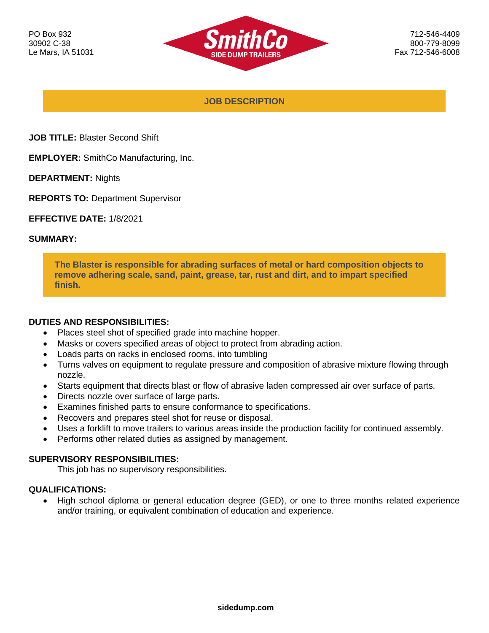

**JOB DESCRIPTION**

- **JOB TITLE:** Blaster Second Shift
- **EMPLOYER:** SmithCo Manufacturing, Inc.
- **DEPARTMENT:** Nights
- **REPORTS TO:** Department Supervisor
- **EFFECTIVE DATE:** 1/8/2021

## **SUMMARY:**

**The Blaster is responsible for abrading surfaces of metal or hard composition objects to remove adhering scale, sand, paint, grease, tar, rust and dirt, and to impart specified finish.**

## **DUTIES AND RESPONSIBILITIES:**

- Places steel shot of specified grade into machine hopper.
- Masks or covers specified areas of object to protect from abrading action.
- Loads parts on racks in enclosed rooms, into tumbling
- Turns valves on equipment to regulate pressure and composition of abrasive mixture flowing through nozzle.
- Starts equipment that directs blast or flow of abrasive laden compressed air over surface of parts.
- Directs nozzle over surface of large parts.
- Examines finished parts to ensure conformance to specifications.
- Recovers and prepares steel shot for reuse or disposal.
- Uses a forklift to move trailers to various areas inside the production facility for continued assembly.
- Performs other related duties as assigned by management.

## **SUPERVISORY RESPONSIBILITIES:**

This job has no supervisory responsibilities.

## **QUALIFICATIONS:**

• High school diploma or general education degree (GED), or one to three months related experience and/or training, or equivalent combination of education and experience.